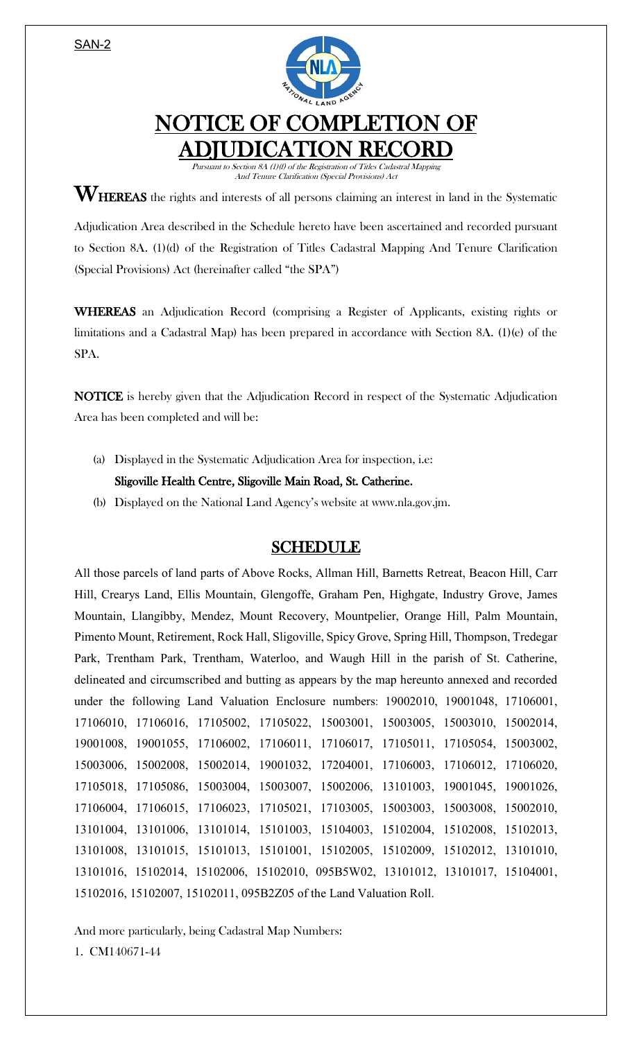SAN-2



## NOTICE OF COMPLETION OF ADJUDICATION RECORD

Pursuant to Section 8A (1)(f) of the Registration of Titles Cadastral Mapping And Tenure Clarification (Special Provisions) Act

 $\mathbf{W}_{\text{HEREAS}}$  the rights and interests of all persons claiming an interest in land in the Systematic

Adjudication Area described in the Schedule hereto have been ascertained and recorded pursuant to Section 8A. (1)(d) of the Registration of Titles Cadastral Mapping And Tenure Clarification (Special Provisions) Act (hereinafter called "the SPA")

WHEREAS an Adjudication Record (comprising a Register of Applicants, existing rights or limitations and a Cadastral Map) has been prepared in accordance with Section 8A. (1)(e) of the SPA.

NOTICE is hereby given that the Adjudication Record in respect of the Systematic Adjudication Area has been completed and will be:

(a) Displayed in the Systematic Adjudication Area for inspection, i.e:

Sligoville Health Centre, Sligoville Main Road, St. Catherine.

(b) Displayed on the National Land Agency's website at www.nla.gov.jm.

## SCHEDULE

All those parcels of land parts of Above Rocks, Allman Hill, Barnetts Retreat, Beacon Hill, Carr Hill, Crearys Land, Ellis Mountain, Glengoffe, Graham Pen, Highgate, Industry Grove, James Mountain, Llangibby, Mendez, Mount Recovery, Mountpelier, Orange Hill, Palm Mountain, Pimento Mount, Retirement, Rock Hall, Sligoville, Spicy Grove, Spring Hill, Thompson, Tredegar Park, Trentham Park, Trentham, Waterloo, and Waugh Hill in the parish of St. Catherine, delineated and circumscribed and butting as appears by the map hereunto annexed and recorded under the following Land Valuation Enclosure numbers: 19002010, 19001048, 17106001, 17106010, 17106016, 17105002, 17105022, 15003001, 15003005, 15003010, 15002014, 19001008, 19001055, 17106002, 17106011, 17106017, 17105011, 17105054, 15003002, 15003006, 15002008, 15002014, 19001032, 17204001, 17106003, 17106012, 17106020, 17105018, 17105086, 15003004, 15003007, 15002006, 13101003, 19001045, 19001026, 17106004, 17106015, 17106023, 17105021, 17103005, 15003003, 15003008, 15002010, 13101004, 13101006, 13101014, 15101003, 15104003, 15102004, 15102008, 15102013, 13101008, 13101015, 15101013, 15101001, 15102005, 15102009, 15102012, 13101010, 13101016, 15102014, 15102006, 15102010, 095B5W02, 13101012, 13101017, 15104001, 15102016, 15102007, 15102011, 095B2Z05 of the Land Valuation Roll.

And more particularly, being Cadastral Map Numbers:

1. CM140671-44